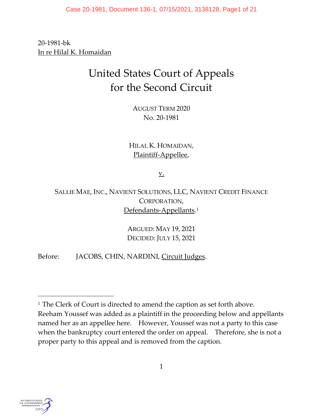20-1981-bk In re Hilal K. Homaidan

# United States Court of Appeals for the Second Circuit

AUGUST TERM 2020 No. 20-1981

HILAL K. HOMAIDAN, Plaintiff-Appellee,

v.

SALLIE MAE, INC., NAVIENT SOLUTIONS, LLC, NAVIENT CREDIT FINANCE CORPORATION, Defendants-Appellants.<sup>[1](#page-0-0)</sup>

> ARGUED: MAY 19, 2021 DECIDED: JULY 15, 2021

Before: JACOBS, CHIN, NARDINI, Circuit Judges.



<span id="page-0-0"></span><sup>&</sup>lt;sup>1</sup> The Clerk of Court is directed to amend the caption as set forth above. Reeham Youssef was added as a plaintiff in the proceeding below and appellants named her as an appellee here. However, Youssef was not a party to this case when the bankruptcy court entered the order on appeal. Therefore, she is not a proper party to this appeal and is removed from the caption.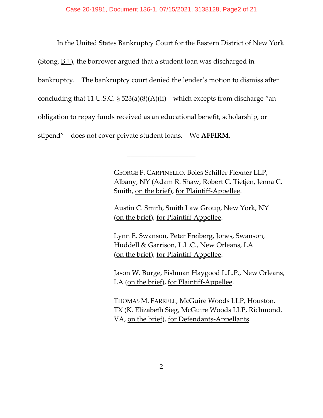In the United States Bankruptcy Court for the Eastern District of New York (Stong, B.J.), the borrower argued that a student loan was discharged in bankruptcy. The bankruptcy court denied the lender's motion to dismiss after concluding that 11 U.S.C. § 523(a)(8)(A)(ii) — which excepts from discharge "an obligation to repay funds received as an educational benefit, scholarship, or stipend"—does not cover private student loans. We **AFFIRM**.

\_\_\_\_\_\_\_\_\_\_\_\_\_\_\_\_\_\_\_\_

GEORGE F. CARPINELLO, Boies Schiller Flexner LLP, Albany, NY (Adam R. Shaw, Robert C. Tietjen, Jenna C. Smith, on the brief), for Plaintiff-Appellee.

Austin C. Smith, Smith Law Group, New York, NY (on the brief), for Plaintiff-Appellee.

Lynn E. Swanson, Peter Freiberg, Jones, Swanson, Huddell & Garrison, L.L.C., New Orleans, LA (on the brief), for Plaintiff-Appellee.

Jason W. Burge, Fishman Haygood L.L.P., New Orleans, LA (on the brief), for Plaintiff-Appellee.

THOMAS M. FARRELL, McGuire Woods LLP, Houston, TX (K. Elizabeth Sieg, McGuire Woods LLP, Richmond, VA, on the brief), for Defendants-Appellants.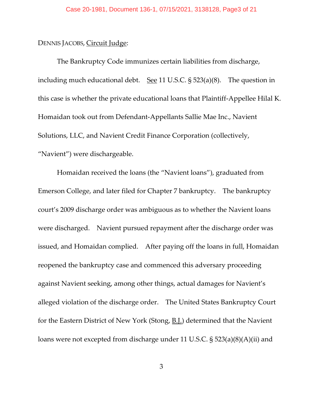## DENNIS JACOBS, Circuit Judge:

The Bankruptcy Code immunizes certain liabilities from discharge, including much educational debt. See 11 U.S.C.  $\S$  523(a)(8). The question in this case is whether the private educational loans that Plaintiff-Appellee Hilal K. Homaidan took out from Defendant-Appellants Sallie Mae Inc., Navient Solutions, LLC, and Navient Credit Finance Corporation (collectively, "Navient") were dischargeable.

Homaidan received the loans (the "Navient loans"), graduated from Emerson College, and later filed for Chapter 7 bankruptcy. The bankruptcy court's 2009 discharge order was ambiguous as to whether the Navient loans were discharged. Navient pursued repayment after the discharge order was issued, and Homaidan complied. After paying off the loans in full, Homaidan reopened the bankruptcy case and commenced this adversary proceeding against Navient seeking, among other things, actual damages for Navient's alleged violation of the discharge order. The United States Bankruptcy Court for the Eastern District of New York (Stong, B.J.) determined that the Navient loans were not excepted from discharge under 11 U.S.C. § 523(a)(8)(A)(ii) and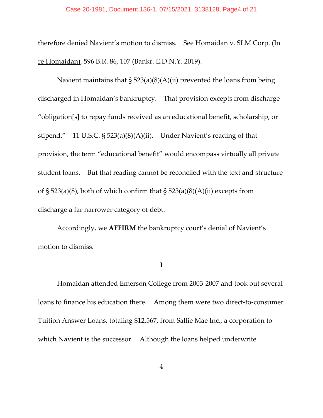#### Case 20-1981, Document 136-1, 07/15/2021, 3138128, Page4 of 21

therefore denied Navient's motion to dismiss. See Homaidan v. SLM Corp. (In re Homaidan), 596 B.R. 86, 107 (Bankr. E.D.N.Y. 2019).

Navient maintains that  $\S 523(a)(8)(A)(ii)$  prevented the loans from being discharged in Homaidan's bankruptcy. That provision excepts from discharge "obligation[s] to repay funds received as an educational benefit, scholarship, or stipend." 11 U.S.C. § 523(a)(8)(A)(ii). Under Navient's reading of that provision, the term "educational benefit" would encompass virtually all private student loans. But that reading cannot be reconciled with the text and structure of § 523(a)(8), both of which confirm that § 523(a)(8)(A)(ii) excepts from discharge a far narrower category of debt.

Accordingly, we **AFFIRM** the bankruptcy court's denial of Navient's motion to dismiss.

**I**

Homaidan attended Emerson College from 2003-2007 and took out several loans to finance his education there. Among them were two direct-to-consumer Tuition Answer Loans, totaling \$12,567, from Sallie Mae Inc., a corporation to which Navient is the successor. Although the loans helped underwrite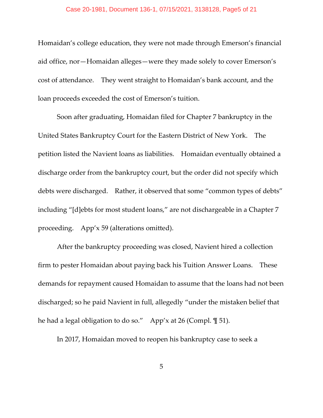Homaidan's college education, they were not made through Emerson's financial aid office, nor—Homaidan alleges—were they made solely to cover Emerson's cost of attendance. They went straight to Homaidan's bank account, and the loan proceeds exceeded the cost of Emerson's tuition.

Soon after graduating, Homaidan filed for Chapter 7 bankruptcy in the United States Bankruptcy Court for the Eastern District of New York. The petition listed the Navient loans as liabilities. Homaidan eventually obtained a discharge order from the bankruptcy court, but the order did not specify which debts were discharged. Rather, it observed that some "common types of debts" including "[d]ebts for most student loans," are not dischargeable in a Chapter 7 proceeding. App'x 59 (alterations omitted).

After the bankruptcy proceeding was closed, Navient hired a collection firm to pester Homaidan about paying back his Tuition Answer Loans. These demands for repayment caused Homaidan to assume that the loans had not been discharged; so he paid Navient in full, allegedly "under the mistaken belief that he had a legal obligation to do so." App'x at 26 (Compl. ¶ 51).

In 2017, Homaidan moved to reopen his bankruptcy case to seek a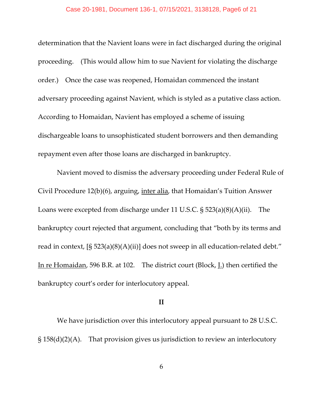#### Case 20-1981, Document 136-1, 07/15/2021, 3138128, Page6 of 21

determination that the Navient loans were in fact discharged during the original proceeding. (This would allow him to sue Navient for violating the discharge order.) Once the case was reopened, Homaidan commenced the instant adversary proceeding against Navient, which is styled as a putative class action. According to Homaidan, Navient has employed a scheme of issuing dischargeable loans to unsophisticated student borrowers and then demanding repayment even after those loans are discharged in bankruptcy.

Navient moved to dismiss the adversary proceeding under Federal Rule of Civil Procedure 12(b)(6), arguing, inter alia, that Homaidan's Tuition Answer Loans were excepted from discharge under 11 U.S.C. § 523(a)(8)(A)(ii). The bankruptcy court rejected that argument, concluding that "both by its terms and read in context,  $[S 523(a)(8)(A)(ii)]$  does not sweep in all education-related debt." In re Homaidan, 596 B.R. at 102. The district court (Block, J.) then certified the bankruptcy court's order for interlocutory appeal.

### **II**

We have jurisdiction over this interlocutory appeal pursuant to 28 U.S.C. § 158(d)(2)(A). That provision gives us jurisdiction to review an interlocutory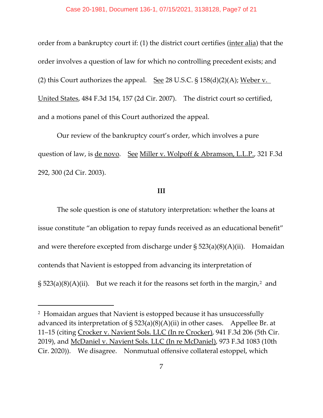order from a bankruptcy court if: (1) the district court certifies (inter alia) that the order involves a question of law for which no controlling precedent exists; and (2) this Court authorizes the appeal. See 28 U.S.C.  $\S$  158(d)(2)(A); Weber v. United States, 484 F.3d 154, 157 (2d Cir. 2007). The district court so certified, and a motions panel of this Court authorized the appeal.

Our review of the bankruptcy court's order, which involves a pure question of law, is de novo. See Miller v. Wolpoff & Abramson, L.L.P., 321 F.3d 292, 300 (2d Cir. 2003).

#### **III**

The sole question is one of statutory interpretation: whether the loans at issue constitute "an obligation to repay funds received as an educational benefit" and were therefore excepted from discharge under § 523(a)(8)(A)(ii). Homaidan contends that Navient is estopped from advancing its interpretation of  $\S$  5[2](#page-6-0)3(a)(8)(A)(ii). But we reach it for the reasons set forth in the margin,<sup>2</sup> and

<span id="page-6-0"></span><sup>2</sup> Homaidan argues that Navient is estopped because it has unsuccessfully advanced its interpretation of  $\S$  523(a)(8)(A)(ii) in other cases. Appellee Br. at 11–15 (citing Crocker v. Navient Sols. LLC (In re Crocker), 941 F.3d 206 (5th Cir. 2019), and McDaniel v. Navient Sols. LLC (In re McDaniel), 973 F.3d 1083 (10th Cir. 2020)). We disagree. Nonmutual offensive collateral estoppel, which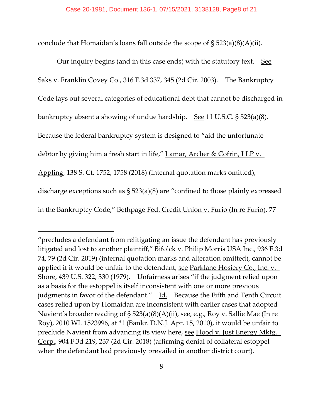conclude that Homaidan's loans fall outside the scope of § 523(a)(8)(A)(ii).

Our inquiry begins (and in this case ends) with the statutory text. See Saks v. Franklin Covey Co., 316 F.3d 337, 345 (2d Cir. 2003). The Bankruptcy Code lays out several categories of educational debt that cannot be discharged in bankruptcy absent a showing of undue hardship. See 11 U.S.C. § 523(a)(8). Because the federal bankruptcy system is designed to "aid the unfortunate debtor by giving him a fresh start in life," Lamar, Archer & Cofrin, LLP v. Appling, 138 S. Ct. 1752, 1758 (2018) (internal quotation marks omitted), discharge exceptions such as § 523(a)(8) are "confined to those plainly expressed in the Bankruptcy Code," Bethpage Fed. Credit Union v. Furio (In re Furio), 77

<sup>&</sup>quot;precludes a defendant from relitigating an issue the defendant has previously litigated and lost to another plaintiff," Bifolck v. Philip Morris USA Inc., 936 F.3d 74, 79 (2d Cir. 2019) (internal quotation marks and alteration omitted), cannot be applied if it would be unfair to the defendant, see Parklane Hosiery Co., Inc. v. Shore, 439 U.S. 322, 330 (1979). Unfairness arises "if the judgment relied upon as a basis for the estoppel is itself inconsistent with one or more previous judgments in favor of the defendant." Id. Because the Fifth and Tenth Circuit cases relied upon by Homaidan are inconsistent with earlier cases that adopted Navient's broader reading of § 523(a)(8)(A)(ii), see, e.g., Roy v. Sallie Mae (In re Roy), 2010 WL 1523996, at \*1 (Bankr. D.N.J. Apr. 15, 2010), it would be unfair to preclude Navient from advancing its view here, see Flood v. Just Energy Mktg. Corp., 904 F.3d 219, 237 (2d Cir. 2018) (affirming denial of collateral estoppel when the defendant had previously prevailed in another district court).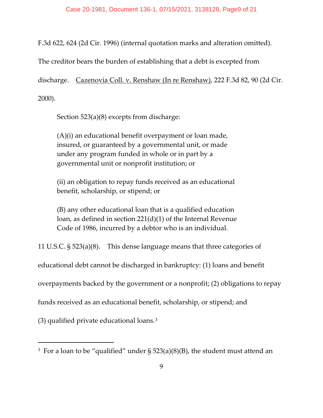F.3d 622, 624 (2d Cir. 1996) (internal quotation marks and alteration omitted).

The creditor bears the burden of establishing that a debt is excepted from

discharge. Cazenovia Coll. v. Renshaw (In re Renshaw), 222 F.3d 82, 90 (2d Cir. 2000).

Section 523(a)(8) excepts from discharge:

(A)(i) an educational benefit overpayment or loan made, insured, or guaranteed by a governmental unit, or made under any program funded in whole or in part by a governmental unit or nonprofit institution; or

(ii) an obligation to repay funds received as an educational benefit, scholarship, or stipend; or

(B) any other educational loan that is a qualified education loan, as defined in section 221(d)(1) of the Internal Revenue Code of 1986, incurred by a debtor who is an individual.

11 U.S.C. § 523(a)(8). This dense language means that three categories of

educational debt cannot be discharged in bankruptcy: (1) loans and benefit

overpayments backed by the government or a nonprofit; (2) obligations to repay

funds received as an educational benefit, scholarship, or stipend; and

(3) qualified private educational loans.[3](#page-8-0)

<span id="page-8-0"></span><sup>&</sup>lt;sup>3</sup> For a loan to be "qualified" under  $\S$  523(a)(8)(B), the student must attend an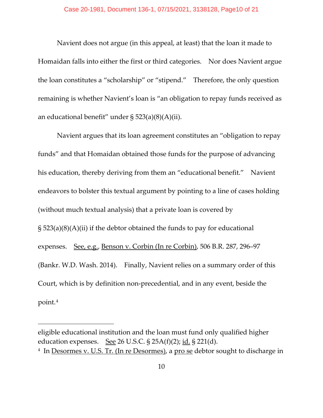Navient does not argue (in this appeal, at least) that the loan it made to Homaidan falls into either the first or third categories. Nor does Navient argue the loan constitutes a "scholarship" or "stipend." Therefore, the only question remaining is whether Navient's loan is "an obligation to repay funds received as an educational benefit" under § 523(a)(8)(A)(ii).

Navient argues that its loan agreement constitutes an "obligation to repay funds" and that Homaidan obtained those funds for the purpose of advancing his education, thereby deriving from them an "educational benefit." Navient endeavors to bolster this textual argument by pointing to a line of cases holding (without much textual analysis) that a private loan is covered by § 523(a)(8)(A)(ii) if the debtor obtained the funds to pay for educational expenses. See, e.g., Benson v. Corbin (In re Corbin), 506 B.R. 287, 296–97 (Bankr. W.D. Wash. 2014). Finally, Navient relies on a summary order of this Court, which is by definition non-precedential, and in any event, beside the point.[4](#page-9-0)

eligible educational institution and the loan must fund only qualified higher education expenses. <u>See</u> 26 U.S.C.  $\S$  25A(f)(2); <u>id.</u>  $\S$  221(d).

<span id="page-9-0"></span><sup>4</sup> In Desormes v. U.S. Tr. (In re Desormes), a pro se debtor sought to discharge in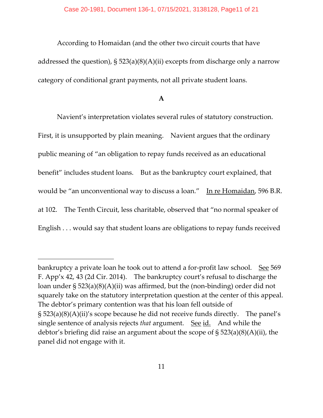According to Homaidan (and the other two circuit courts that have addressed the question), § 523(a)(8)(A)(ii) excepts from discharge only a narrow category of conditional grant payments, not all private student loans.

**A**

Navient's interpretation violates several rules of statutory construction. First, it is unsupported by plain meaning. Navient argues that the ordinary public meaning of "an obligation to repay funds received as an educational benefit" includes student loans. But as the bankruptcy court explained, that would be "an unconventional way to discuss a loan." In re Homaidan, 596 B.R. at 102. The Tenth Circuit, less charitable, observed that "no normal speaker of English . . . would say that student loans are obligations to repay funds received

bankruptcy a private loan he took out to attend a for-profit law school. See 569 F. App'x 42, 43 (2d Cir. 2014). The bankruptcy court's refusal to discharge the loan under § 523(a)(8)(A)(ii) was affirmed, but the (non-binding) order did not squarely take on the statutory interpretation question at the center of this appeal. The debtor's primary contention was that his loan fell outside of § 523(a)(8)(A)(ii)'s scope because he did not receive funds directly. The panel's single sentence of analysis rejects *that* argument. See id. And while the debtor's briefing did raise an argument about the scope of § 523(a)(8)(A)(ii), the panel did not engage with it.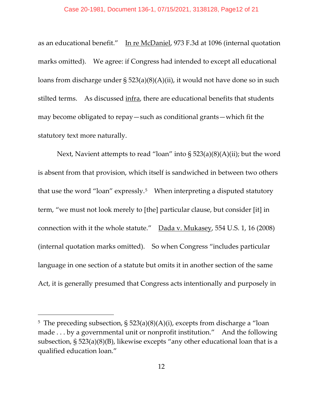as an educational benefit." In re McDaniel, 973 F.3d at 1096 (internal quotation marks omitted). We agree: if Congress had intended to except all educational loans from discharge under § 523(a)(8)(A)(ii), it would not have done so in such stilted terms. As discussed infra, there are educational benefits that students may become obligated to repay—such as conditional grants—which fit the statutory text more naturally.

Next, Navient attempts to read "loan" into  $\S 523(a)(8)(A)(ii)$ ; but the word is absent from that provision, which itself is sandwiched in between two others that use the word "loan" expressly.<sup>[5](#page-11-0)</sup> When interpreting a disputed statutory term, "we must not look merely to [the] particular clause, but consider [it] in connection with it the whole statute." Dada v. Mukasey, 554 U.S. 1, 16 (2008) (internal quotation marks omitted). So when Congress "includes particular language in one section of a statute but omits it in another section of the same Act, it is generally presumed that Congress acts intentionally and purposely in

<span id="page-11-0"></span><sup>5</sup> The preceding subsection, § 523(a)(8)(A)(i), excepts from discharge a "loan made . . . by a governmental unit or nonprofit institution." And the following subsection, § 523(a)(8)(B), likewise excepts "any other educational loan that is a qualified education loan."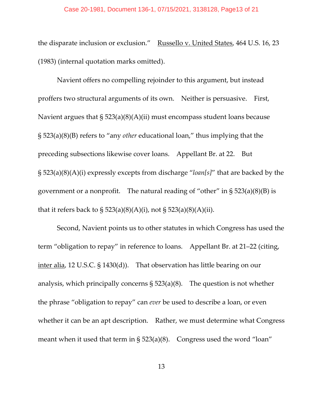#### Case 20-1981, Document 136-1, 07/15/2021, 3138128, Page13 of 21

the disparate inclusion or exclusion." Russello v. United States, 464 U.S. 16, 23 (1983) (internal quotation marks omitted).

Navient offers no compelling rejoinder to this argument, but instead proffers two structural arguments of its own. Neither is persuasive. First, Navient argues that § 523(a)(8)(A)(ii) must encompass student loans because § 523(a)(8)(B) refers to "any *other* educational loan," thus implying that the preceding subsections likewise cover loans. Appellant Br. at 22. But § 523(a)(8)(A)(i) expressly excepts from discharge "*loan[s]*" that are backed by the government or a nonprofit. The natural reading of "other" in  $\S 523(a)(8)(B)$  is that it refers back to  $\S 523(a)(8)(A)(i)$ , not  $\S 523(a)(8)(A)(ii)$ .

Second, Navient points us to other statutes in which Congress has used the term "obligation to repay" in reference to loans. Appellant Br. at 21–22 (citing, inter alia, 12 U.S.C. § 1430(d)). That observation has little bearing on our analysis, which principally concerns  $\S$  523(a)(8). The question is not whether the phrase "obligation to repay" can *ever* be used to describe a loan, or even whether it can be an apt description. Rather, we must determine what Congress meant when it used that term in  $\S$  523(a)(8). Congress used the word "loan"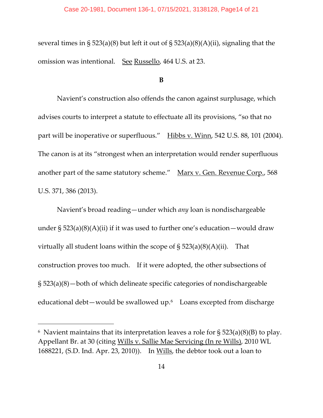several times in § 523(a)(8) but left it out of § 523(a)(8)(A)(ii), signaling that the omission was intentional. See Russello, 464 U.S. at 23.

#### **B**

Navient's construction also offends the canon against surplusage, which advises courts to interpret a statute to effectuate all its provisions, "so that no part will be inoperative or superfluous." Hibbs v. Winn, 542 U.S. 88, 101 (2004). The canon is at its "strongest when an interpretation would render superfluous another part of the same statutory scheme." Marx v. Gen. Revenue Corp., 568 U.S. 371, 386 (2013).

Navient's broad reading—under which *any* loan is nondischargeable under  $\S$  523(a)(8)(A)(ii) if it was used to further one's education—would draw virtually all student loans within the scope of  $\S 523(a)(8)(A)(ii)$ . That construction proves too much. If it were adopted, the other subsections of § 523(a)(8)—both of which delineate specific categories of nondischargeable educational debt—would be swallowed up.<sup>6</sup> Loans excepted from discharge

<span id="page-13-0"></span> $6$  Navient maintains that its interpretation leaves a role for § 523(a)(8)(B) to play. Appellant Br. at 30 (citing <u>Wills v. Sallie Mae Servicing (In re Wills)</u>, 2010 WL 1688221, (S.D. Ind. Apr. 23, 2010)). In Wills, the debtor took out a loan to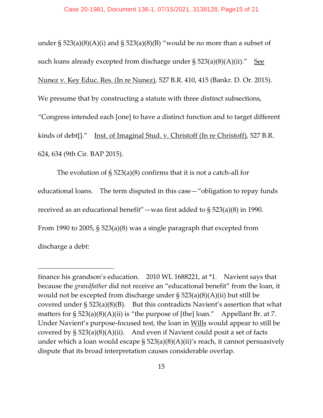under  $\S 523(a)(8)(A)(i)$  and  $\S 523(a)(8)(B)$  "would be no more than a subset of such loans already excepted from discharge under  $\S$  523(a)(8)(A)(ii)." See Nunez v. Key Educ. Res. (In re Nunez), 527 B.R. 410, 415 (Bankr. D. Or. 2015). We presume that by constructing a statute with three distinct subsections, "Congress intended each [one] to have a distinct function and to target different kinds of debt[]." Inst. of Imaginal Stud. v. Christoff (In re Christoff), 527 B.R. 624, 634 (9th Cir. BAP 2015).

The evolution of § 523(a)(8) confirms that it is not a catch-all for educational loans. The term disputed in this case—"obligation to repay funds received as an educational benefit"—was first added to  $\S$  523(a)(8) in 1990. From 1990 to 2005, § 523(a)(8) was a single paragraph that excepted from discharge a debt:

finance his grandson's education. 2010 WL 1688221, at \*1. Navient says that because the *grandfather* did not receive an "educational benefit" from the loan, it would not be excepted from discharge under  $\S$  523(a)(8)(A)(ii) but still be covered under  $\S 523(a)(8)(B)$ . But this contradicts Navient's assertion that what matters for  $\S 523(a)(8)(A)(ii)$  is "the purpose of [the] loan." Appellant Br. at 7. Under Navient's purpose-focused test, the loan in Wills would appear to still be covered by  $\S$  523(a)(8)(A)(ii). And even if Navient could posit a set of facts under which a loan would escape  $\S$  523(a)(8)(A)(ii)'s reach, it cannot persuasively dispute that its broad interpretation causes considerable overlap.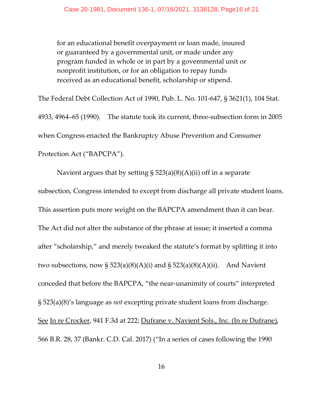for an educational benefit overpayment or loan made, insured or guaranteed by a governmental unit, or made under any program funded in whole or in part by a governmental unit or nonprofit institution, or for an obligation to repay funds received as an educational benefit, scholarship or stipend.

The Federal Debt Collection Act of 1990, Pub. L. No. 101-647, § 3621(1), 104 Stat. 4933, 4964–65 (1990). The statute took its current, three-subsection form in 2005 when Congress enacted the Bankruptcy Abuse Prevention and Consumer Protection Act ("BAPCPA").

Navient argues that by setting  $\S$  523(a)(8)(A)(ii) off in a separate subsection, Congress intended to except from discharge all private student loans. This assertion puts more weight on the BAPCPA amendment than it can bear. The Act did not alter the substance of the phrase at issue; it inserted a comma after "scholarship," and merely tweaked the statute's format by splitting it into two subsections, now  $\S$  523(a)(8)(A)(i) and  $\S$  523(a)(8)(A)(ii). And Navient conceded that before the BAPCPA, "the near-unanimity of courts" interpreted § 523(a)(8)'s language as *not* excepting private student loans from discharge. See In re Crocker, 941 F.3d at 222; Dufrane v. Navient Sols., Inc. (In re Dufrane), 566 B.R. 28, 37 (Bankr. C.D. Cal. 2017) ("In a series of cases following the 1990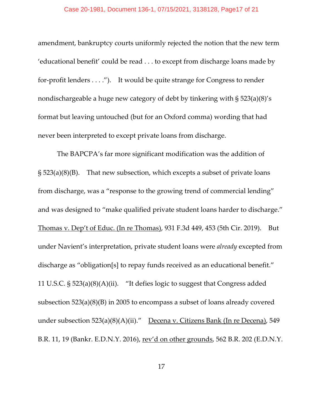amendment, bankruptcy courts uniformly rejected the notion that the new term 'educational benefit' could be read . . . to except from discharge loans made by for-profit lenders . . . ."). It would be quite strange for Congress to render nondischargeable a huge new category of debt by tinkering with § 523(a)(8)'s format but leaving untouched (but for an Oxford comma) wording that had never been interpreted to except private loans from discharge.

The BAPCPA's far more significant modification was the addition of  $\S$  523(a)(8)(B). That new subsection, which excepts a subset of private loans from discharge, was a "response to the growing trend of commercial lending" and was designed to "make qualified private student loans harder to discharge." Thomas v. Dep't of Educ. (In re Thomas), 931 F.3d 449, 453 (5th Cir. 2019). But under Navient's interpretation, private student loans were *already* excepted from discharge as "obligation[s] to repay funds received as an educational benefit." 11 U.S.C. § 523(a)(8)(A)(ii). "It defies logic to suggest that Congress added subsection 523(a)(8)(B) in 2005 to encompass a subset of loans already covered under subsection 523(a)(8)(A)(ii)." Decena v. Citizens Bank (In re Decena), 549 B.R. 11, 19 (Bankr. E.D.N.Y. 2016), rev'd on other grounds, 562 B.R. 202 (E.D.N.Y.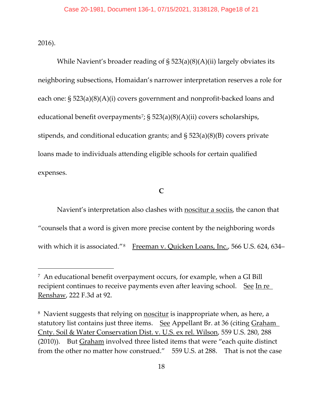2016).

While Navient's broader reading of § 523(a)(8)(A)(ii) largely obviates its neighboring subsections, Homaidan's narrower interpretation reserves a role for each one: § 523(a)(8)(A)(i) covers government and nonprofit-backed loans and educational benefit overpayments<sup>[7](#page-17-0)</sup>; § 523(a)(8)(A)(ii) covers scholarships, stipends, and conditional education grants; and § 523(a)(8)(B) covers private loans made to individuals attending eligible schools for certain qualified expenses.

**C**

Navient's interpretation also clashes with noscitur a sociis, the canon that "counsels that a word is given more precise content by the neighboring words with which it is associated."<sup>8</sup> Freeman v. Quicken Loans, Inc., 566 U.S. 624, 634–

<span id="page-17-0"></span><sup>7</sup> An educational benefit overpayment occurs, for example, when a GI Bill recipient continues to receive payments even after leaving school. See In re Renshaw, 222 F.3d at 92.

<span id="page-17-1"></span><sup>8</sup> Navient suggests that relying on noscitur is inappropriate when, as here, a statutory list contains just three items. See Appellant Br. at 36 (citing Graham Cnty. Soil & Water Conservation Dist. v. U.S. ex rel. Wilson, 559 U.S. 280, 288 (2010)). But Graham involved three listed items that were "each quite distinct from the other no matter how construed." 559 U.S. at 288. That is not the case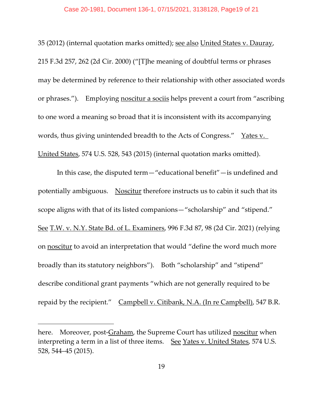#### Case 20-1981, Document 136-1, 07/15/2021, 3138128, Page19 of 21

35 (2012) (internal quotation marks omitted); see also United States v. Dauray, 215 F.3d 257, 262 (2d Cir. 2000) ("[T]he meaning of doubtful terms or phrases may be determined by reference to their relationship with other associated words or phrases."). Employing noscitur a sociis helps prevent a court from "ascribing to one word a meaning so broad that it is inconsistent with its accompanying words, thus giving unintended breadth to the Acts of Congress." Yates v. United States, 574 U.S. 528, 543 (2015) (internal quotation marks omitted).

In this case, the disputed term—"educational benefit"—is undefined and potentially ambiguous. Noscitur therefore instructs us to cabin it such that its scope aligns with that of its listed companions—"scholarship" and "stipend." See T.W. v. N.Y. State Bd. of L. Examiners, 996 F.3d 87, 98 (2d Cir. 2021) (relying on noscitur to avoid an interpretation that would "define the word much more broadly than its statutory neighbors"). Both "scholarship" and "stipend" describe conditional grant payments "which are not generally required to be repaid by the recipient." Campbell v. Citibank, N.A. (In re Campbell), 547 B.R.

here. Moreover, post-Graham, the Supreme Court has utilized noscitur when interpreting a term in a list of three items. See Yates v. United States, 574 U.S. 528, 544–45 (2015).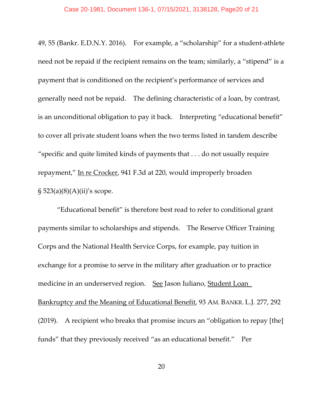49, 55 (Bankr. E.D.N.Y. 2016). For example, a "scholarship" for a student-athlete need not be repaid if the recipient remains on the team; similarly, a "stipend" is a payment that is conditioned on the recipient's performance of services and generally need not be repaid. The defining characteristic of a loan, by contrast, is an unconditional obligation to pay it back. Interpreting "educational benefit" to cover all private student loans when the two terms listed in tandem describe "specific and quite limited kinds of payments that . . . do not usually require repayment," In re Crocker, 941 F.3d at 220, would improperly broaden  $\S 523(a)(8)(A)(ii)'$ s scope.

"Educational benefit" is therefore best read to refer to conditional grant payments similar to scholarships and stipends. The Reserve Officer Training Corps and the National Health Service Corps, for example, pay tuition in exchange for a promise to serve in the military after graduation or to practice medicine in an underserved region. See Jason Iuliano, Student Loan Bankruptcy and the Meaning of Educational Benefit, 93 AM. BANKR. L.J. 277, 292 (2019). A recipient who breaks that promise incurs an "obligation to repay [the] funds" that they previously received "as an educational benefit." Per